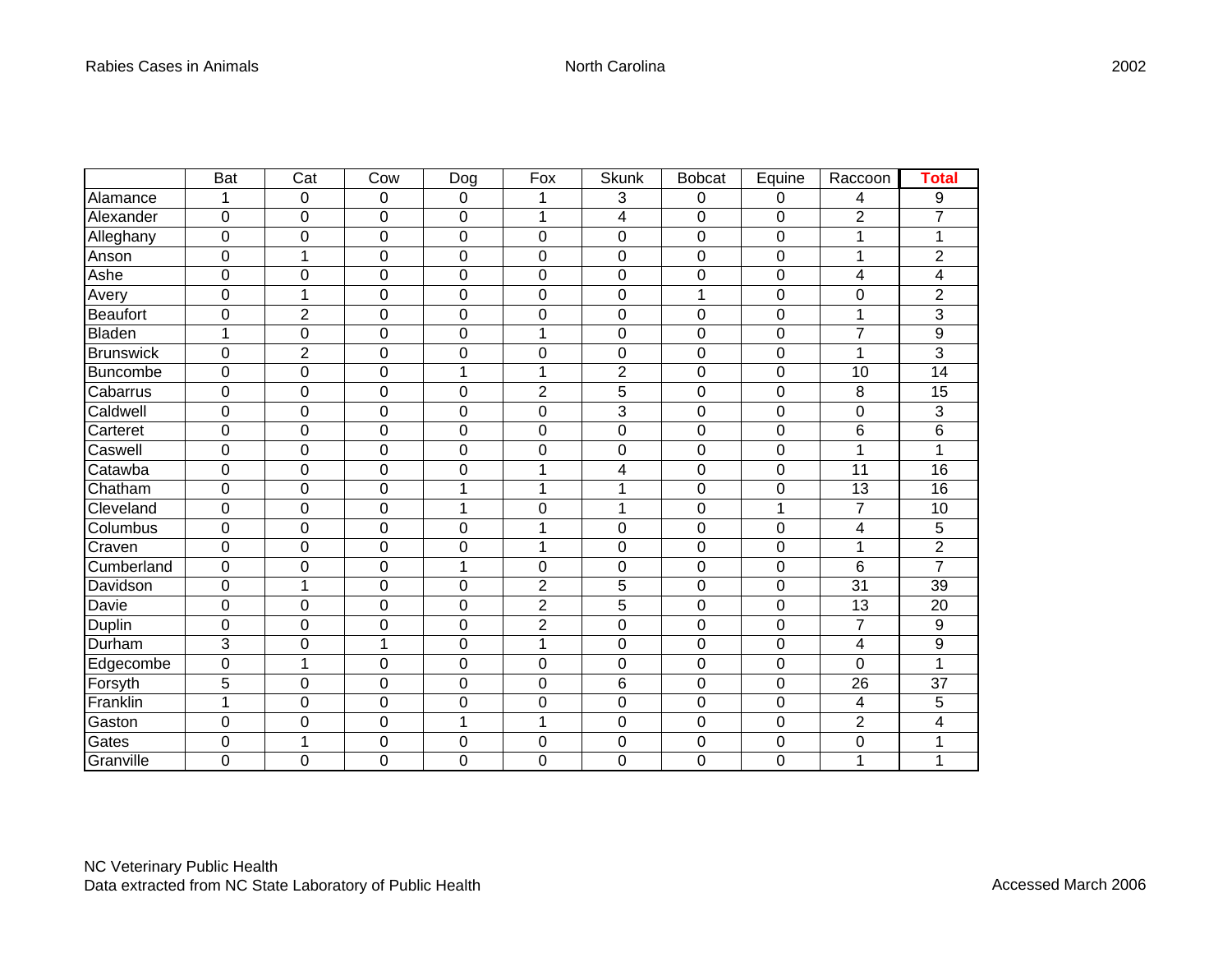|                  | Bat              | Cat            | Cow              | Dog              | Fox            | Skunk                   | <b>Bobcat</b> | Equine         | Raccoon          | <b>Total</b>   |
|------------------|------------------|----------------|------------------|------------------|----------------|-------------------------|---------------|----------------|------------------|----------------|
| Alamance         | 1                | 0              | 0                | $\boldsymbol{0}$ |                | 3                       | 0             | 0              | 4                | 9              |
| Alexander        | $\overline{0}$   | 0              | $\mathbf 0$      | $\overline{0}$   | 1              | $\overline{\mathbf{4}}$ | 0             | 0              | $\overline{2}$   | $\overline{7}$ |
| Alleghany        | $\mathbf 0$      | 0              | $\mathbf 0$      | $\mathbf 0$      | 0              | $\mathbf 0$             | 0             | 0              | 1                | 1              |
| Anson            | $\mathbf 0$      | $\mathbf{1}$   | 0                | $\mathbf 0$      | 0              | $\overline{0}$          | 0             | $\mathbf 0$    | 1                | $\overline{2}$ |
| Ashe             | $\overline{0}$   | 0              | 0                | $\mathbf 0$      | 0              | $\mathbf 0$             | 0             | 0              | 4                | 4              |
| Avery            | $\overline{0}$   | 1              | 0                | $\overline{0}$   | 0              | $\mathbf 0$             | 1             | 0              | $\mathbf 0$      | $\overline{2}$ |
| <b>Beaufort</b>  | $\mathbf 0$      | $\overline{c}$ | $\mathbf 0$      | $\mathbf 0$      | 0              | $\mathbf 0$             | 0             | 0              | 1                | 3              |
| <b>Bladen</b>    | 1                | 0              | 0                | $\mathbf 0$      | 1              | $\mathbf 0$             | 0             | 0              | $\overline{7}$   | 9              |
| <b>Brunswick</b> | $\mathbf 0$      | $\overline{2}$ | 0                | $\mathbf 0$      | 0              | $\mathbf 0$             | 0             | $\mathbf 0$    | $\mathbf{1}$     | 3              |
| <b>Buncombe</b>  | $\mathbf 0$      | 0              | 0                | 1                | 1              | $\overline{2}$          | 0             | 0              | 10               | 14             |
| Cabarrus         | $\mathbf 0$      | 0              | $\mathbf 0$      | $\overline{0}$   | $\overline{c}$ | 5                       | 0             | 0              | 8                | 15             |
| Caldwell         | $\mathbf 0$      | 0              | 0                | $\mathbf 0$      | 0              | 3                       | 0             | 0              | $\pmb{0}$        | 3              |
| Carteret         | $\mathbf 0$      | 0              | $\mathbf 0$      | $\mathbf 0$      | 0              | $\mathbf 0$             | 0             | $\mathbf 0$    | $6\phantom{1}6$  | 6              |
| Caswell          | $\overline{0}$   | 0              | 0                | $\overline{0}$   | 0              | $\overline{0}$          | 0             | $\overline{0}$ | 1                | 1              |
| Catawba          | $\mathbf 0$      | 0              | 0                | $\overline{0}$   | 1              | 4                       | 0             | 0              | 11               | 16             |
| Chatham          | 0                | 0              | 0                | 1                | 1              | 1                       | 0             | 0              | 13               | 16             |
| Cleveland        | $\mathbf 0$      | 0              | 0                | 1                | 0              | 1                       | 0             | 1              | 7                | 10             |
| Columbus         | $\mathbf 0$      | 0              | 0                | $\mathbf 0$      | 1              | $\mathbf 0$             | 0             | 0              | 4                | 5              |
| Craven           | $\mathbf 0$      | 0              | 0                | $\mathbf 0$      | 1              | $\overline{0}$          | 0             | $\mathbf 0$    | 1                | $\overline{2}$ |
| Cumberland       | $\mathbf 0$      | 0              | 0                | 1                | 0              | $\mathbf 0$             | 0             | 0              | $6\phantom{1}$   | $\overline{7}$ |
| Davidson         | $\mathbf 0$      | 1              | 0                | $\mathbf 0$      | $\overline{c}$ | 5                       | 0             | 0              | 31               | 39             |
| Davie            | $\mathbf 0$      | 0              | $\boldsymbol{0}$ | $\mathbf 0$      | $\overline{c}$ | 5                       | 0             | 0              | 13               | 20             |
| Duplin           | $\overline{0}$   | 0              | 0                | $\mathbf 0$      | $\overline{2}$ | $\mathbf 0$             | 0             | 0              | 7                | 9              |
| Durham           | 3                | 0              | $\overline{1}$   | $\mathbf 0$      | $\mathbf{1}$   | $\overline{0}$          | 0             | $\mathbf 0$    | $\overline{4}$   | 9              |
| Edgecombe        | $\overline{0}$   | $\mathbf{1}$   | 0                | $\overline{0}$   | 0              | $\overline{0}$          | 0             | 0              | $\overline{0}$   | 1              |
| Forsyth          | 5                | 0              | 0                | 0                | 0              | 6                       | 0             | 0              | 26               | 37             |
| Franklin         | 1                | 0              | 0                | $\mathbf 0$      | 0              | $\mathbf 0$             | 0             | $\mathbf 0$    | 4                | 5              |
| Gaston           | $\boldsymbol{0}$ | 0              | $\pmb{0}$        | 1                | 1              | $\mathbf 0$             | 0             | 0              | $\overline{2}$   | 4              |
| Gates            | $\mathbf 0$      | $\mathbf{1}$   | 0                | $\mathbf 0$      | 0              | $\mathbf 0$             | 0             | 0              | $\boldsymbol{0}$ | 1              |
| Granville        | $\mathbf 0$      | 0              | 0                | 0                | 0              | $\overline{0}$          | 0             | $\mathbf 0$    | 1                | 1              |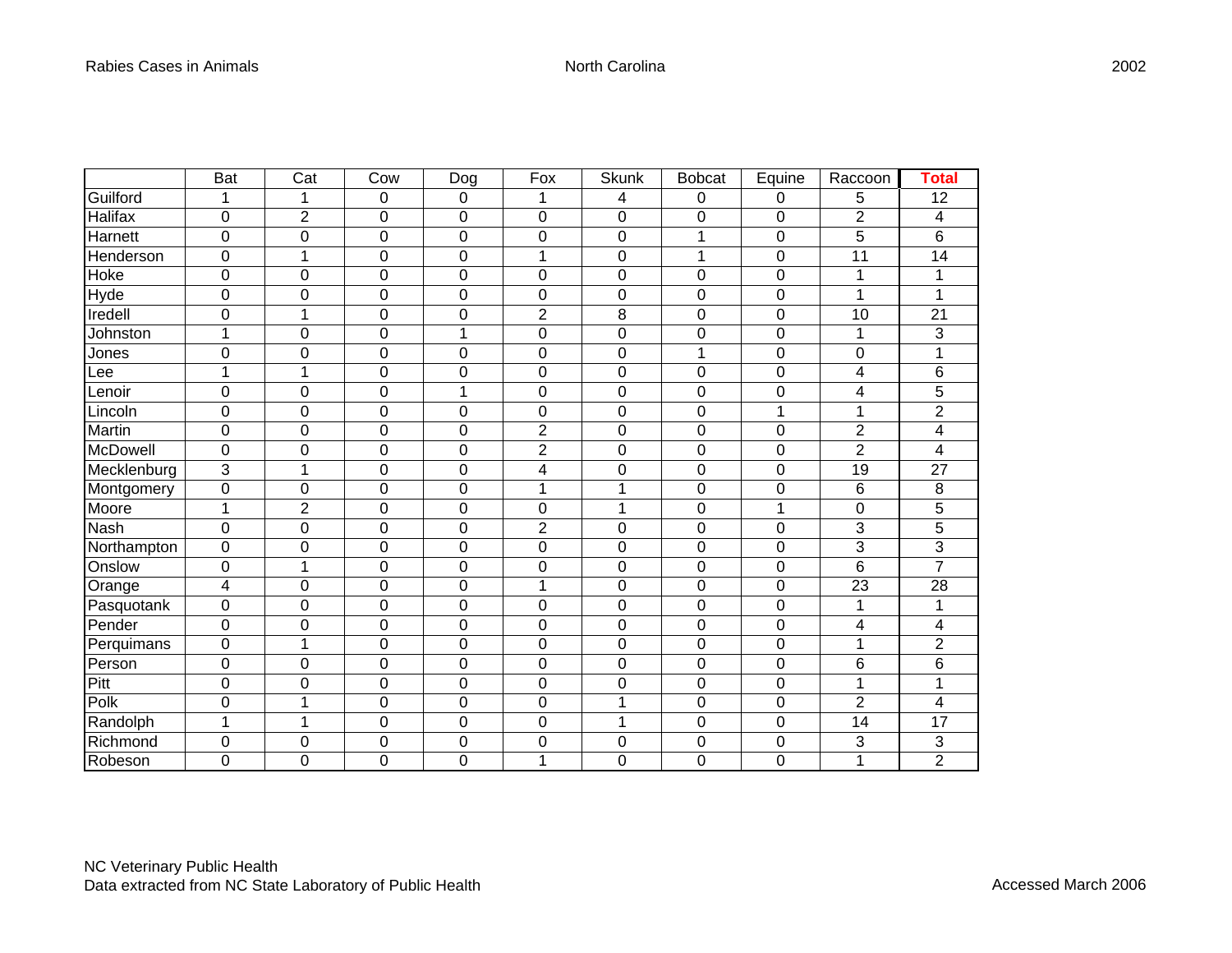|             | Bat            | Cat            | Cow              | Dog            | Fox            | <b>Skunk</b>   | <b>Bobcat</b> | Equine         | Raccoon         | <b>Total</b>            |
|-------------|----------------|----------------|------------------|----------------|----------------|----------------|---------------|----------------|-----------------|-------------------------|
| Guilford    | 1              | 1              | 0                | $\pmb{0}$      | 1              | 4              | 0             | 0              | 5               | 12                      |
| Halifax     | $\overline{0}$ | $\overline{c}$ | $\mathbf 0$      | $\mathbf 0$    | 0              | $\overline{0}$ | 0             | 0              | $\overline{2}$  | $\overline{\mathbf{4}}$ |
| Harnett     | $\mathbf 0$    | 0              | $\boldsymbol{0}$ | $\mathbf 0$    | 0              | $\mathbf 0$    | 1             | 0              | 5               | 6                       |
| Henderson   | $\mathbf 0$    | $\mathbf{1}$   | 0                | $\mathbf 0$    | 1              | $\overline{0}$ | 1             | $\mathbf 0$    | 11              | 14                      |
| Hoke        | $\mathbf 0$    | 0              | 0                | $\mathbf 0$    | 0              | $\mathbf 0$    | 0             | $\mathbf 0$    | 1               | 1                       |
| <b>Hyde</b> | $\mathbf 0$    | 0              | 0                | $\mathbf 0$    | 0              | $\mathbf 0$    | 0             | $\mathbf 0$    | 1               | 1                       |
| Iredell     | $\mathbf 0$    | 1              | $\mathbf 0$      | $\mathbf 0$    | $\overline{2}$ | 8              | 0             | 0              | 10              | 21                      |
| Johnston    | $\mathbf{1}$   | 0              | 0                | 1              | 0              | $\mathbf 0$    | 0             | 0              | $\mathbf{1}$    | 3                       |
| Jones       | $\mathbf 0$    | 0              | 0                | $\mathbf 0$    | 0              | $\mathbf 0$    | 1             | $\mathbf 0$    | $\mathbf 0$     | 1                       |
| ee          | 1              | 1              | 0                | $\mathbf 0$    | 0              | $\mathbf 0$    | 0             | 0              | 4               | 6                       |
| Lenoir      | $\overline{0}$ | 0              | 0                | $\mathbf 1$    | 0              | $\mathbf 0$    | 0             | 0              | 4               | 5                       |
| Lincoln     | $\mathbf 0$    | 0              | 0                | $\mathbf 0$    | 0              | $\mathbf 0$    | 0             | 1              | 1               | $\overline{c}$          |
| Martin      | $\mathbf 0$    | 0              | $\mathbf 0$      | $\mathbf 0$    | $\overline{2}$ | $\mathbf 0$    | 0             | 0              | $\overline{2}$  | 4                       |
| McDowell    | $\overline{0}$ | 0              | 0                | $\overline{0}$ | $\overline{2}$ | $\overline{0}$ | 0             | $\overline{0}$ | $\overline{2}$  | 4                       |
| Mecklenburg | 3              | 1              | 0                | $\mathbf 0$    | 4              | $\overline{0}$ | 0             | 0              | 19              | 27                      |
| Montgomery  | $\mathbf 0$    | 0              | 0                | 0              | 1              | 1              | 0             | 0              | 6               | 8                       |
| Moore       | 1              | $\overline{2}$ | $\pmb{0}$        | $\mathbf 0$    | 0              | 1              | 0             | 1              | $\pmb{0}$       | 5                       |
| Nash        | $\mathbf 0$    | 0              | 0                | $\mathbf 0$    | $\overline{2}$ | $\mathbf 0$    | 0             | 0              | 3               | 5                       |
| Northampton | $\mathbf 0$    | 0              | 0                | $\mathbf 0$    | 0              | $\overline{0}$ | 0             | $\overline{0}$ | 3               | 3                       |
| Onslow      | $\mathbf 0$    | $\overline{1}$ | 0                | $\mathbf 0$    | 0              | $\mathbf 0$    | 0             | 0              | $6\phantom{1}6$ | $\overline{7}$          |
| Orange      | 4              | 0              | 0                | $\mathbf 0$    | 1              | $\mathbf 0$    | 0             | 0              | 23              | 28                      |
| Pasquotank  | $\mathbf 0$    | 0              | $\mathbf 0$      | $\mathbf 0$    | 0              | $\mathbf 0$    | 0             | 0              | 1               |                         |
| Pender      | $\overline{0}$ | 0              | 0                | $\mathbf 0$    | 0              | $\mathbf 0$    | 0             | 0              | 4               | 4                       |
| Perquimans  | $\mathbf 0$    | 1              | 0                | $\mathbf 0$    | 0              | $\overline{0}$ | 0             | $\mathbf 0$    | $\mathbf 1$     | $\overline{2}$          |
| Person      | $\overline{0}$ | 0              | 0                | $\mathbf 0$    | 0              | $\overline{0}$ | 0             | 0              | 6               | 6                       |
| Pitt        | 0              | 0              | 0                | 0              | 0              | 0              | 0             | $\mathbf 0$    | 1               | 1                       |
| Polk        | $\mathbf 0$    | 1              | 0                | $\mathbf 0$    | 0              | 1              | 0             | $\mathbf 0$    | $\overline{c}$  | 4                       |
| Randolph    | 1              | 1              | $\pmb{0}$        | $\pmb{0}$      | 0              | 1              | 0             | 0              | 14              | 17                      |
| Richmond    | $\mathbf 0$    | 0              | 0                | $\mathbf 0$    | 0              | $\mathbf 0$    | 0             | 0              | 3               | 3                       |
| Robeson     | $\mathbf 0$    | 0              | 0                | $\mathbf 0$    | 1              | $\overline{0}$ | 0             | $\mathbf 0$    | 1               | $\overline{2}$          |